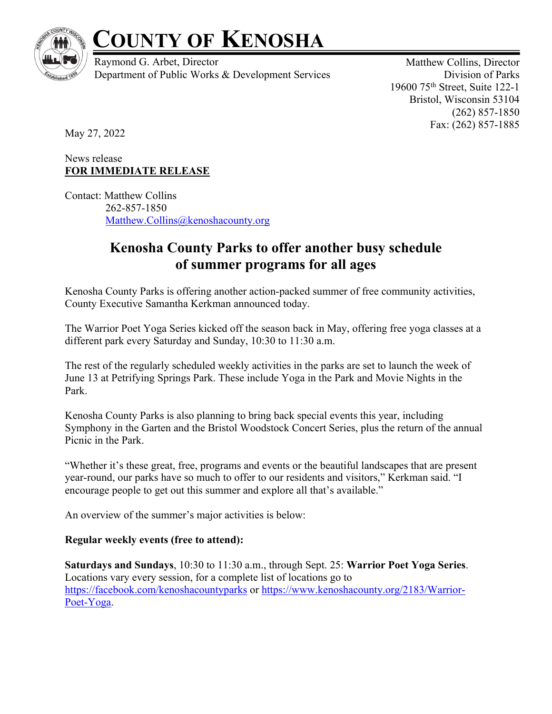

# **COUNTY OF KENOSHA**

Raymond G. Arbet, Director Department of Public Works & Development Services

Matthew Collins, Director Division of Parks 19600 75th Street, Suite 122-1 Bristol, Wisconsin 53104 (262) 857-1850 Fax: (262) 857-1885

May 27, 2022

## News release **FOR IMMEDIATE RELEASE**

Contact: Matthew Collins 262-857-1850 Matthew.Collins@kenoshacounty.org

# **Kenosha County Parks to offer another busy schedule of summer programs for all ages**

Kenosha County Parks is offering another action-packed summer of free community activities, County Executive Samantha Kerkman announced today.

The Warrior Poet Yoga Series kicked off the season back in May, offering free yoga classes at a different park every Saturday and Sunday, 10:30 to 11:30 a.m.

The rest of the regularly scheduled weekly activities in the parks are set to launch the week of June 13 at Petrifying Springs Park. These include Yoga in the Park and Movie Nights in the Park.

Kenosha County Parks is also planning to bring back special events this year, including Symphony in the Garten and the Bristol Woodstock Concert Series, plus the return of the annual Picnic in the Park.

"Whether it's these great, free, programs and events or the beautiful landscapes that are present year-round, our parks have so much to offer to our residents and visitors," Kerkman said. "I encourage people to get out this summer and explore all that's available."

An overview of the summer's major activities is below:

## **Regular weekly events (free to attend):**

**Saturdays and Sundays**, 10:30 to 11:30 a.m., through Sept. 25: **Warrior Poet Yoga Series**. Locations vary every session, for a complete list of locations go to https://facebook.com/kenoshacountyparks or https://www.kenoshacounty.org/2183/Warrior-Poet-Yoga.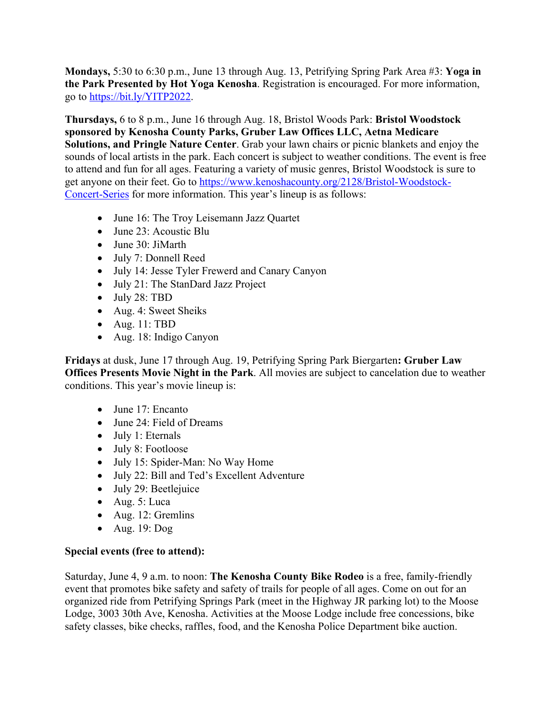**Mondays,** 5:30 to 6:30 p.m., June 13 through Aug. 13, Petrifying Spring Park Area #3: **Yoga in the Park Presented by Hot Yoga Kenosha**. Registration is encouraged. For more information, go to https://bit.ly/YITP2022.

**Thursdays,** 6 to 8 p.m., June 16 through Aug. 18, Bristol Woods Park: **Bristol Woodstock sponsored by Kenosha County Parks, Gruber Law Offices LLC, Aetna Medicare Solutions, and Pringle Nature Center**. Grab your lawn chairs or picnic blankets and enjoy the sounds of local artists in the park. Each concert is subject to weather conditions. The event is free to attend and fun for all ages. Featuring a variety of music genres, Bristol Woodstock is sure to get anyone on their feet. Go to https://www.kenoshacounty.org/2128/Bristol-Woodstock-Concert-Series for more information. This year's lineup is as follows:

- June 16: The Troy Leisemann Jazz Quartet
- June 23: Acoustic Blu
- June 30: JiMarth
- July 7: Donnell Reed
- July 14: Jesse Tyler Frewerd and Canary Canyon
- July 21: The StanDard Jazz Project
- July 28: TBD
- Aug. 4: Sweet Sheiks
- Aug.  $11: TBD$
- Aug. 18: Indigo Canyon

**Fridays** at dusk, June 17 through Aug. 19, Petrifying Spring Park Biergarten**: Gruber Law Offices Presents Movie Night in the Park**. All movies are subject to cancelation due to weather conditions. This year's movie lineup is:

- June 17: Encanto
- June 24: Field of Dreams
- July 1: Eternals
- July 8: Footloose
- July 15: Spider-Man: No Way Home
- July 22: Bill and Ted's Excellent Adventure
- July 29: Beetlejuice
- Aug. 5: Luca
- Aug. 12: Gremlins
- Aug. 19: Dog

#### **Special events (free to attend):**

Saturday, June 4, 9 a.m. to noon: **The Kenosha County Bike Rodeo** is a free, family-friendly event that promotes bike safety and safety of trails for people of all ages. Come on out for an organized ride from Petrifying Springs Park (meet in the Highway JR parking lot) to the Moose Lodge, 3003 30th Ave, Kenosha. Activities at the Moose Lodge include free concessions, bike safety classes, bike checks, raffles, food, and the Kenosha Police Department bike auction.